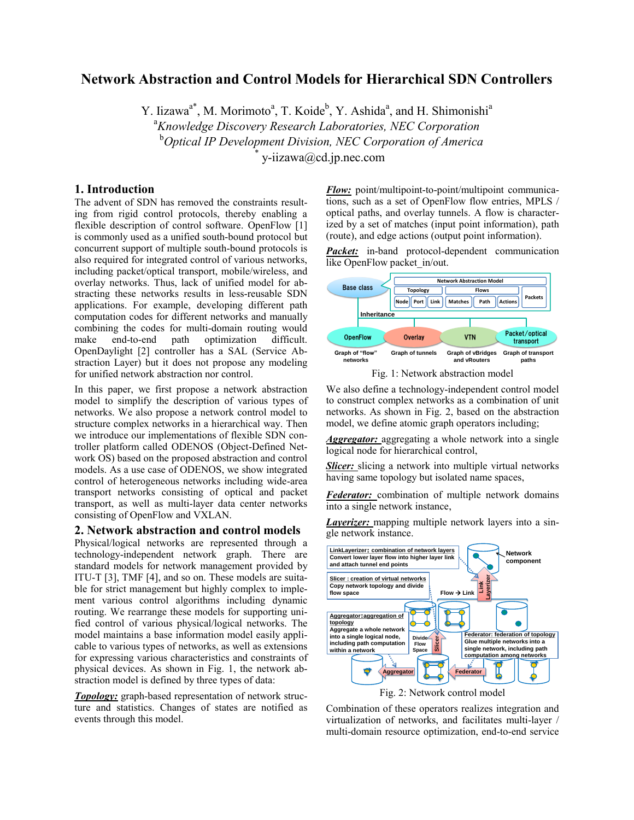# **Network Abstraction and Control Models for Hierarchical SDN Controllers**

Y. Iizawa<sup>a\*</sup>, M. Morimoto<sup>a</sup>, T. Koide<sup>b</sup>, Y. Ashida<sup>a</sup>, and H. Shimonishi<sup>a</sup> <sup>a</sup>*Knowledge Discovery Research Laboratories, NEC Corporation* <sup>b</sup>*Optical IP Development Division, NEC Corporation of America* \* y-iizawa@cd.jp.nec.com

# **1. Introduction**

The advent of SDN has removed the constraints resulting from rigid control protocols, thereby enabling a flexible description of control software. OpenFlow [1] is commonly used as a unified south-bound protocol but concurrent support of multiple south-bound protocols is also required for integrated control of various networks, including packet/optical transport, mobile/wireless, and overlay networks. Thus, lack of unified model for abstracting these networks results in less-reusable SDN applications. For example, developing different path computation codes for different networks and manually combining the codes for multi-domain routing would make end-to-end path optimization difficult. OpenDaylight [2] controller has a SAL (Service Abstraction Layer) but it does not propose any modeling for unified network abstraction nor control.

In this paper, we first propose a network abstraction model to simplify the description of various types of networks. We also propose a network control model to structure complex networks in a hierarchical way. Then we introduce our implementations of flexible SDN controller platform called ODENOS (Object-Defined Network OS) based on the proposed abstraction and control models. As a use case of ODENOS, we show integrated control of heterogeneous networks including wide-area transport networks consisting of optical and packet transport, as well as multi-layer data center networks consisting of OpenFlow and VXLAN.

### **2. Network abstraction and control models**

Physical/logical networks are represented through a technology-independent network graph. There are standard models for network management provided by ITU-T [3], TMF [4], and so on. These models are suitable for strict management but highly complex to implement various control algorithms including dynamic routing. We rearrange these models for supporting unified control of various physical/logical networks. The model maintains a base information model easily applicable to various types of networks, as well as extensions for expressing various characteristics and constraints of physical devices. As shown in Fig. 1, the network abstraction model is defined by three types of data:

*Topology:* graph-based representation of network structure and statistics. Changes of states are notified as events through this model.

*Flow:* point/multipoint-to-point/multipoint communications, such as a set of OpenFlow flow entries, MPLS / optical paths, and overlay tunnels. A flow is characterized by a set of matches (input point information), path (route), and edge actions (output point information).

*Packet:* in-band protocol-dependent communication like OpenFlow packet in/out.



Fig. 1: Network abstraction model

We also define a technology-independent control model to construct complex networks as a combination of unit networks. As shown in Fig. 2, based on the abstraction model, we define atomic graph operators including;

*Aggregator:* aggregating a whole network into a single logical node for hierarchical control,

**Slicer:** slicing a network into multiple virtual networks having same topology but isolated name spaces,

*Federator:* combination of multiple network domains into a single network instance,

*Layerizer:* mapping multiple network layers into a single network instance.



Combination of these operators realizes integration and virtualization of networks, and facilitates multi-layer /